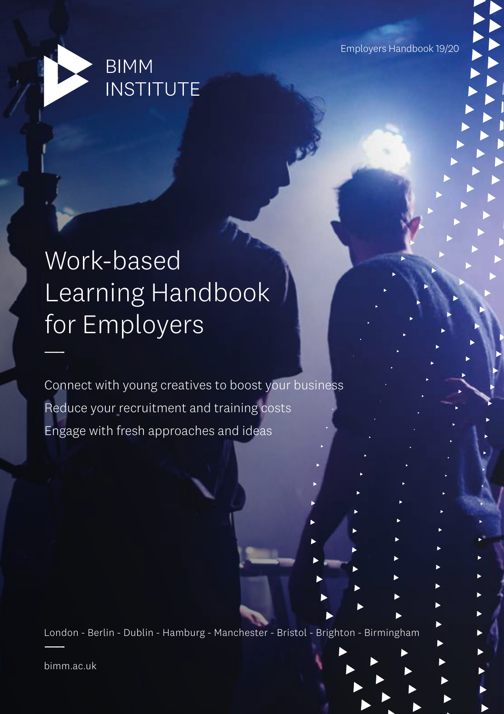Employers Handbook 19/20



# Work-based Learning Handbook for Employers

Connect with young creatives to boost your business Reduce your recruitment and training costs Engage with fresh approaches and ideas

London - Berlin - Dublin - Hamburg - Manchester - Bristol - Brighton - Birmingham

bimm.ac.uk

**———-**

**———-**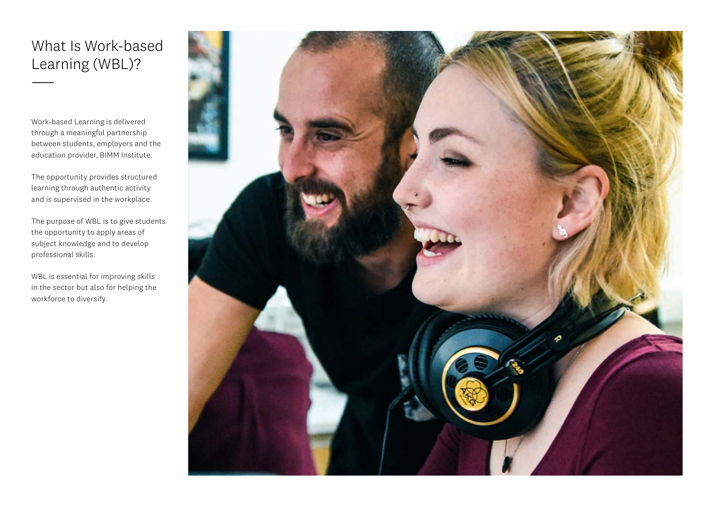What Is Work-based Learning (WBL)?

------

Work-based Learning is delivered through a meaningful partnership between students, employers and the education provider, BIMM Institute.

The opportunity provides structured learning through authentic activity and is supervised in the workplace.

The purpose of WBL is to give students the opportunity to apply areas of subject knowledge and to develop professional skills.

WBL is essential for improving skills in the sector but also for helping the workforce to diversify.

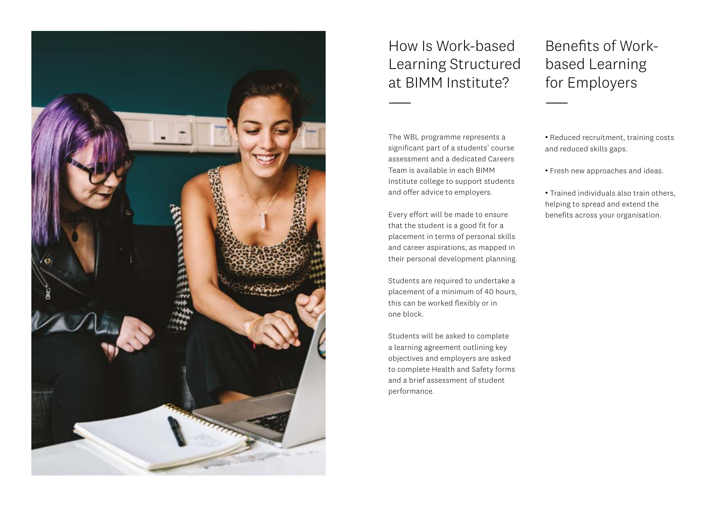

### How Is Work-based Learning Structured at BIMM Institute?

------

The WBL programme represents a significant part of a students' course assessment and a dedicated Careers Team is available in each BIMM Institute college to support students and offer advice to employers.

Every effort will be made to ensure that the student is a good fit for a placement in terms of personal skills and career aspirations, as mapped in their personal development planning.

Students are required to undertake a placement of a minimum of 40 hours, this can be worked flexibly or in one block.

Students will be asked to complete a learning agreement outlining key objectives and employers are asked to complete Health and Safety forms and a brief assessment of student performance.

# Benefits of Workbased Learning for Employers

------

- Reduced recruitment, training costs and reduced skills gaps.
- Fresh new approaches and ideas.

• Trained individuals also train others, helping to spread and extend the benefits across your organisation.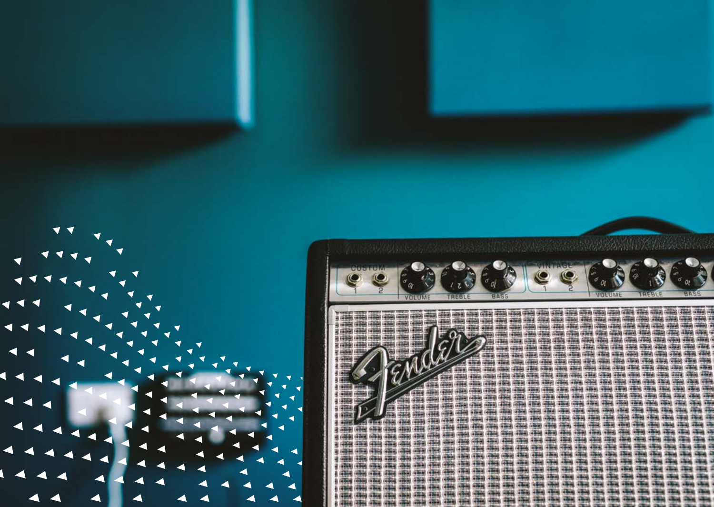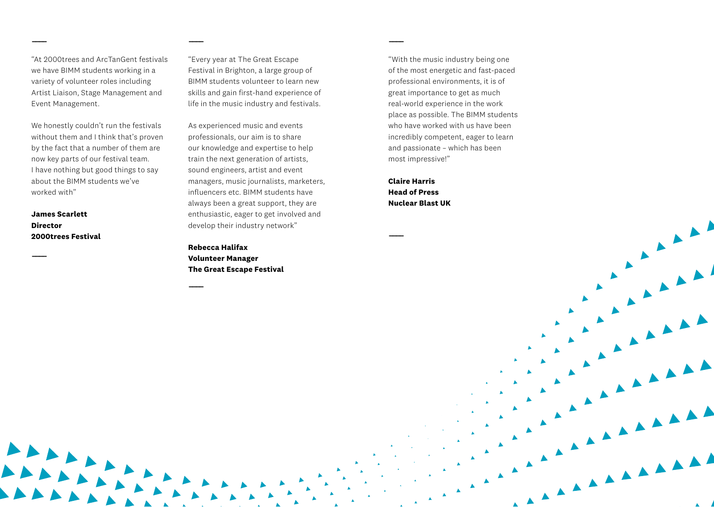"At 2000trees and ArcTanGent festivals we have BIMM students working in a variety of volunteer roles including Artist Liaison, Stage Management and Event Management.

We honestly couldn't run the festivals without them and I think that's proven by the fact that a number of them are now key parts of our festival team. I have nothing but good things to say about the BIMM students we've worked with"

**James Scarlett Director 2000trees Festival**

----

----

"Every year at The Great Escape Festival in Brighton, a large group of BIMM students volunteer to learn new skills and gain first-hand experience of life in the music industry and festivals.

----

As experienced music and events professionals, our aim is to share our knowledge and expertise to help train the next generation of artists, sound engineers, artist and event managers, music journalists, marketers, influencers etc. BIMM students have always been a great support, they are enthusiastic, eager to get involved and develop their industry network"

**Rebecca Halifax Volunteer Manager The Great Escape Festival**

----

"With the music industry being one of the most energetic and fast-paced professional environments, it is of great importance to get as much real-world experience in the work place as possible. The BIMM students who have worked with us have been incredibly competent, eager to learn and passionate – which has been most impressive!"

**Claire Harris Head of Press Nuclear Blast UK**

----

----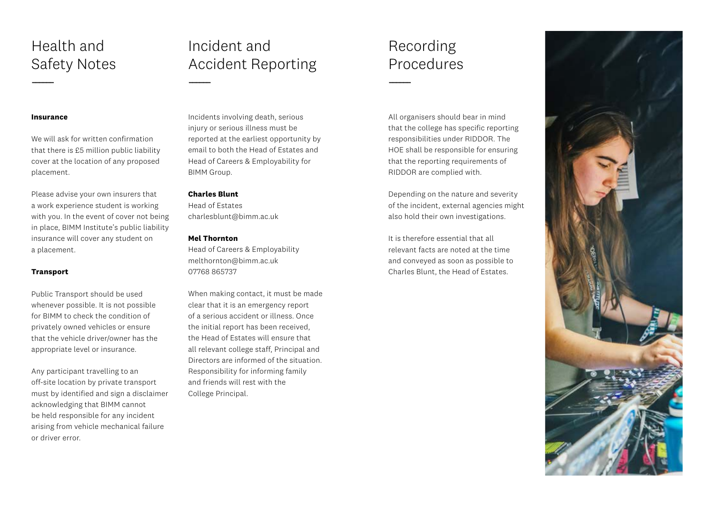# Health and Safety Notes

# Incident and Accident Reporting

#### **Insurance**

------

We will ask for written confirmation that there is £5 million public liability cover at the location of any proposed placement.

Please advise your own insurers that a work experience student is working with you. In the event of cover not being in place, BIMM Institute's public liability insurance will cover any student on a placement.

#### **Transport**

Public Transport should be used whenever possible. It is not possible for BIMM to check the condition of privately owned vehicles or ensure that the vehicle driver/owner has the appropriate level or insurance.

Any participant travelling to an off-site location by private transport must by identified and sign a disclaimer acknowledging that BIMM cannot be held responsible for any incident arising from vehicle mechanical failure or driver error.

Incidents involving death, serious injury or serious illness must be reported at the earliest opportunity by email to both the Head of Estates and Head of Careers & Employability for BIMM Group.

#### **Charles Blunt**

------

Head of Estates charlesblunt@bimm.ac.uk

#### **Mel Thornton**

Head of Careers & Employability melthornton@bimm.ac.uk 07768 865737

When making contact, it must be made clear that it is an emergency report of a serious accident or illness. Once the initial report has been received, the Head of Estates will ensure that all relevant college staff, Principal and Directors are informed of the situation. Responsibility for informing family and friends will rest with the College Principal.

### Recording Procedures

------

All organisers should bear in mind that the college has specific reporting responsibilities under RIDDOR. The HOE shall be responsible for ensuring that the reporting requirements of RIDDOR are complied with.

Depending on the nature and severity of the incident, external agencies might also hold their own investigations.

It is therefore essential that all relevant facts are noted at the time and conveyed as soon as possible to Charles Blunt, the Head of Estates.

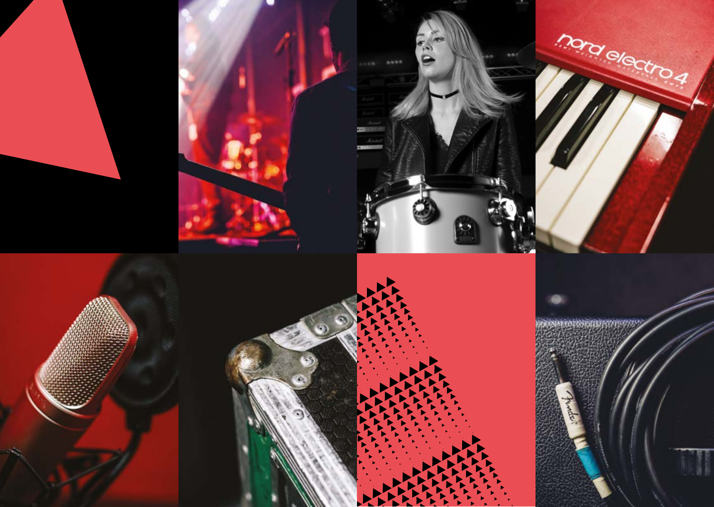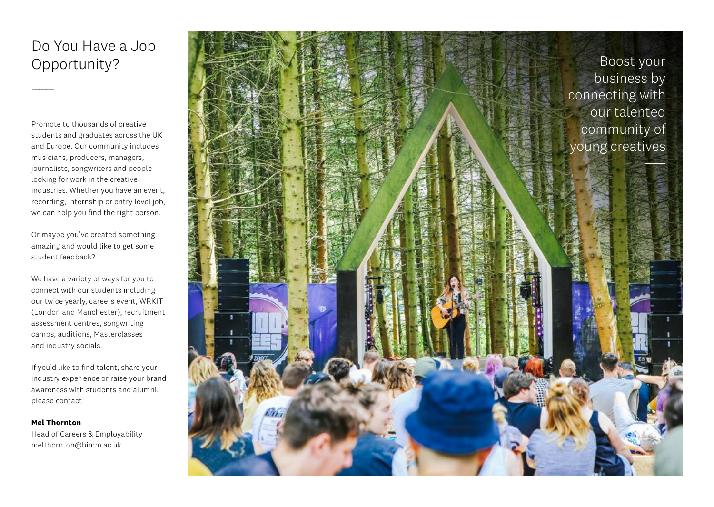# Do You Have a Job Opportunity?

------

Promote to thousands of creative students and graduates across the UK and Europe. Our community includes musicians, producers, managers, journalists, songwriters and people looking for work in the creative industries. Whether you have an event, recording, internship or entry level job, we can help you find the right person.

Or maybe you've created something amazing and would like to get some student feedback?

We have a variety of ways for you to connect with our students including our twice yearly, careers event, WRKIT (London and Manchester), recruitment assessment centres, songwriting camps, auditions, Masterclasses and industry socials.

If you'd like to find talent, share your industry experience or raise your brand awareness with students and alumni, please contact:

#### **Mel Thornton**

Head of Careers & Employability melthornton@bimm.ac.uk